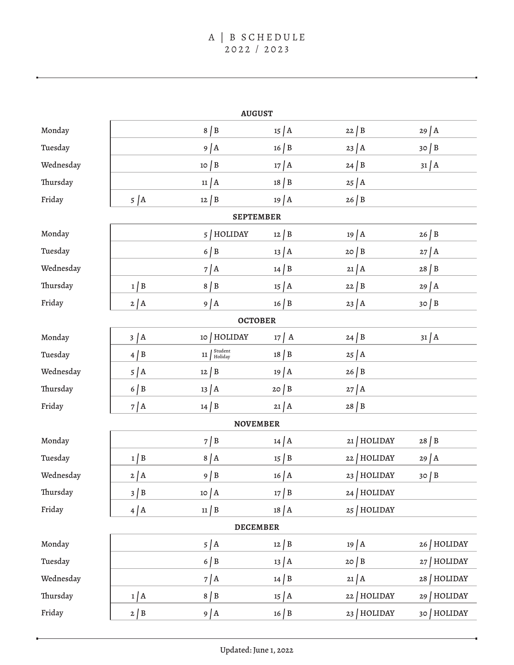| <b>AUGUST</b>    |               |                                             |                      |                |                      |  |  |  |  |
|------------------|---------------|---------------------------------------------|----------------------|----------------|----------------------|--|--|--|--|
| Monday           |               | $8 \mid B$                                  | $15 \mid A$          | $22 \mid B$    | $29$ $A$             |  |  |  |  |
| Tuesday          |               | $9$ $\vert$ A                               | $16 \mid B$          | $23 \mid A$    | $30 \mid B$          |  |  |  |  |
| Wednesday        |               | $10 \mid B$                                 | $17$ $\overline{)$ A | $24 \mid B$    | $31$ $A$             |  |  |  |  |
| Thursday         |               | $11$ $A$                                    | $18 \mid B$          | $25$ $A$       |                      |  |  |  |  |
| Friday           | $5 \mid A$    | $12 \mid B$                                 | $19$ $A$             | $26 \mid B$    |                      |  |  |  |  |
| <b>SEPTEMBER</b> |               |                                             |                      |                |                      |  |  |  |  |
| Monday           |               | 5   HOLIDAY                                 | $12 \mid B$          | $19$ $A$       | 26   B               |  |  |  |  |
| Tuesday          |               | $6 \mid B$                                  | $13 \mid A$          | $20 \mid B$    | $27$ $\overline{)$ A |  |  |  |  |
| Wednesday        |               | $7$ $\vert$ A                               | $14 \mid B$          | $21$ $A$       | $28 \mid B$          |  |  |  |  |
| Thursday         | $1 \mid B$    | $8 \mid B$                                  | $15 \mid A$          | $22 \mid B$    | $29$ $\vert$ A       |  |  |  |  |
| Friday           | $2$ $A$       | $9$ $A$                                     | $16 \mid B$          | $23$ $A$       | $30 \mid B$          |  |  |  |  |
| <b>OCTOBER</b>   |               |                                             |                      |                |                      |  |  |  |  |
| Monday           | $3 \mid A$    | 10   HOLIDAY                                | $17$ $\overline{)$ A | $24 \mid B$    | $31$ $A$             |  |  |  |  |
| Tuesday          | $4 \mid B$    | $11 \int_{\text{Holiday}}^{\text{Student}}$ | $18 \mid B$          | $25 \mid A$    |                      |  |  |  |  |
| Wednesday        | $5 \mid A$    | $12 \mid B$                                 | $19$ $A$             | $26 \mid B$    |                      |  |  |  |  |
| Thursday         | $6 \mid B$    | $13 \mid A$                                 | 20   B               | $27$ $\vert$ A |                      |  |  |  |  |
| Friday           | $7$ $\vert$ A | $14 \mid B$                                 | $21$ $A$             | $28 \mid B$    |                      |  |  |  |  |
| <b>NOVEMBER</b>  |               |                                             |                      |                |                      |  |  |  |  |
| Monday           |               | $7 \mid B$                                  | $14$ $A$             | 21   HOLIDAY   | $28 \mid B$          |  |  |  |  |
| Tuesday          | $1 \mid B$    | 8/A                                         | $15 \mid B$          | 22 HOLIDAY     | $29$ $A$             |  |  |  |  |
| Wednesday        | $2 \mid A$    | $9 \mid B$                                  | $16$ $A$             | 23   HOLIDAY   | 30/B                 |  |  |  |  |
| Thursday         | $3 \mid B$    | $10 \mid A$                                 | $17 \mid B$          | HOLIDAY<br>24  |                      |  |  |  |  |
| Friday           | $4$ $A$       | $11 \mid B$                                 | $18$ $A$             | 25   HOLIDAY   |                      |  |  |  |  |
| <b>DECEMBER</b>  |               |                                             |                      |                |                      |  |  |  |  |
| Monday           |               | $5 \mid A$                                  | $12 \mid B$          | $19$ $A$       | 26 HOLIDAY           |  |  |  |  |
| Tuesday          |               | $6 \mid B$                                  | $13 \mid A$          | $20 \mid B$    | 27 HOLIDAY           |  |  |  |  |
| Wednesday        |               | $7$ $\overline{)$ A                         | $14 \mid B$          | $21$ $A$       | 28   HOLIDAY         |  |  |  |  |
| Thursday         | 1/A           | $8 \mid B$                                  | $15 \mid A$          | HOLIDAY<br>22  | 29   HOLIDAY         |  |  |  |  |
| Friday           | $2 \mid B$    | $9$ $A$                                     | $16 \mid B$          | 23   HOLIDAY   | 30   HOLIDAY         |  |  |  |  |